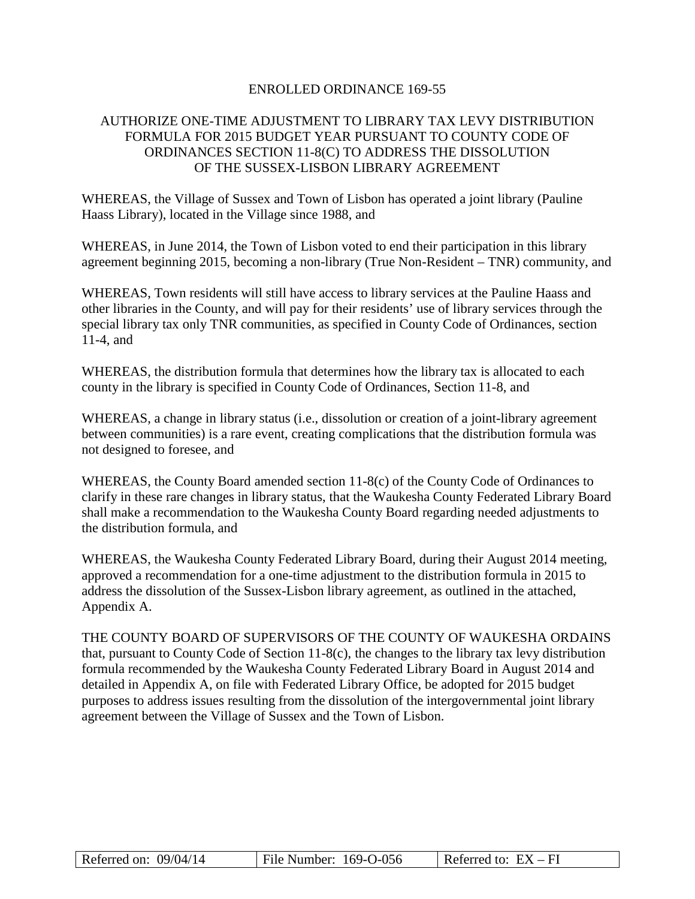### ENROLLED ORDINANCE 169-55

# AUTHORIZE ONE-TIME ADJUSTMENT TO LIBRARY TAX LEVY DISTRIBUTION FORMULA FOR 2015 BUDGET YEAR PURSUANT TO COUNTY CODE OF ORDINANCES SECTION 11-8(C) TO ADDRESS THE DISSOLUTION OF THE SUSSEX-LISBON LIBRARY AGREEMENT

WHEREAS, the Village of Sussex and Town of Lisbon has operated a joint library (Pauline Haass Library), located in the Village since 1988, and

WHEREAS, in June 2014, the Town of Lisbon voted to end their participation in this library agreement beginning 2015, becoming a non-library (True Non-Resident – TNR) community, and

WHEREAS, Town residents will still have access to library services at the Pauline Haass and other libraries in the County, and will pay for their residents' use of library services through the special library tax only TNR communities, as specified in County Code of Ordinances, section 11-4, and

WHEREAS, the distribution formula that determines how the library tax is allocated to each county in the library is specified in County Code of Ordinances, Section 11-8, and

WHEREAS, a change in library status (i.e., dissolution or creation of a joint-library agreement between communities) is a rare event, creating complications that the distribution formula was not designed to foresee, and

WHEREAS, the County Board amended section 11-8(c) of the County Code of Ordinances to clarify in these rare changes in library status, that the Waukesha County Federated Library Board shall make a recommendation to the Waukesha County Board regarding needed adjustments to the distribution formula, and

WHEREAS, the Waukesha County Federated Library Board, during their August 2014 meeting, approved a recommendation for a one-time adjustment to the distribution formula in 2015 to address the dissolution of the Sussex-Lisbon library agreement, as outlined in the attached, Appendix A.

THE COUNTY BOARD OF SUPERVISORS OF THE COUNTY OF WAUKESHA ORDAINS that, pursuant to County Code of Section 11-8(c), the changes to the library tax levy distribution formula recommended by the Waukesha County Federated Library Board in August 2014 and detailed in Appendix A, on file with Federated Library Office, be adopted for 2015 budget purposes to address issues resulting from the dissolution of the intergovernmental joint library agreement between the Village of Sussex and the Town of Lisbon.

| Referred on: $09/04/14$ | File Number: $169-O-056$ | Referred to: $EX - FI$ |
|-------------------------|--------------------------|------------------------|
|-------------------------|--------------------------|------------------------|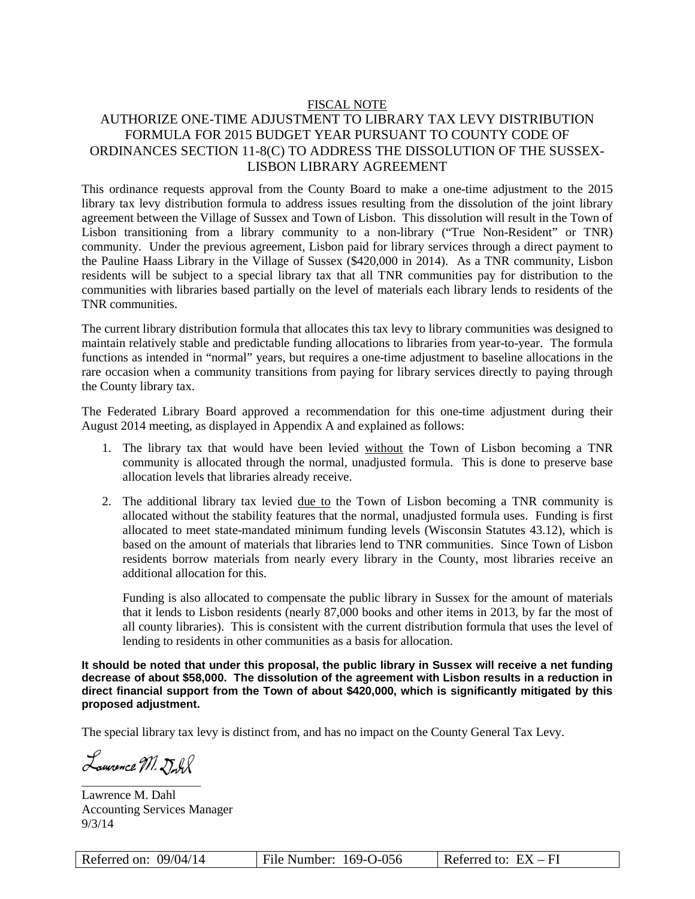#### FISCAL NOTE

# AUTHORIZE ONE-TIME ADJUSTMENT TO LIBRARY TAX LEVY DISTRIBUTION FORMULA FOR 2015 BUDGET YEAR PURSUANT TO COUNTY CODE OF ORDINANCES SECTION 11-8(C) TO ADDRESS THE DISSOLUTION OF THE SUSSEX-LISBON LIBRARY AGREEMENT

This ordinance requests approval from the County Board to make a one-time adjustment to the 2015 library tax levy distribution formula to address issues resulting from the dissolution of the joint library agreement between the Village of Sussex and Town of Lisbon. This dissolution will result in the Town of Lisbon transitioning from a library community to a non-library ("True Non-Resident" or TNR) community. Under the previous agreement, Lisbon paid for library services through a direct payment to the Pauline Haass Library in the Village of Sussex (\$420,000 in 2014). As a TNR community, Lisbon residents will be subject to a special library tax that all TNR communities pay for distribution to the communities with libraries based partially on the level of materials each library lends to residents of the TNR communities.

The current library distribution formula that allocates this tax levy to library communities was designed to maintain relatively stable and predictable funding allocations to libraries from year-to-year. The formula functions as intended in "normal" years, but requires a one-time adjustment to baseline allocations in the rare occasion when a community transitions from paying for library services directly to paying through the County library tax.

The Federated Library Board approved a recommendation for this one-time adjustment during their August 2014 meeting, as displayed in Appendix A and explained as follows:

- 1. The library tax that would have been levied without the Town of Lisbon becoming a TNR community is allocated through the normal, unadjusted formula. This is done to preserve base allocation levels that libraries already receive.
- 2. The additional library tax levied due to the Town of Lisbon becoming a TNR community is allocated without the stability features that the normal, unadjusted formula uses. Funding is first allocated to meet state-mandated minimum funding levels (Wisconsin Statutes 43.12), which is based on the amount of materials that libraries lend to TNR communities. Since Town of Lisbon residents borrow materials from nearly every library in the County, most libraries receive an additional allocation for this.

Funding is also allocated to compensate the public library in Sussex for the amount of materials that it lends to Lisbon residents (nearly 87,000 books and other items in 2013, by far the most of all county libraries). This is consistent with the current distribution formula that uses the level of lending to residents in other communities as a basis for allocation.

**It should be noted that under this proposal, the public library in Sussex will receive a net funding decrease of about \$58,000. The dissolution of the agreement with Lisbon results in a reduction in direct financial support from the Town of about \$420,000, which is significantly mitigated by this proposed adjustment.** 

The special library tax levy is distinct from, and has no impact on the County General Tax Levy.

Lamonce M. Doll \_\_\_\_\_\_\_\_\_\_\_\_\_\_\_\_\_\_\_\_\_

Lawrence M. Dahl Accounting Services Manager 9/3/14

| Referred on: $09/04/14$ | File Number: 169-O-056 | Referred to: $EX - FI$ |
|-------------------------|------------------------|------------------------|
|-------------------------|------------------------|------------------------|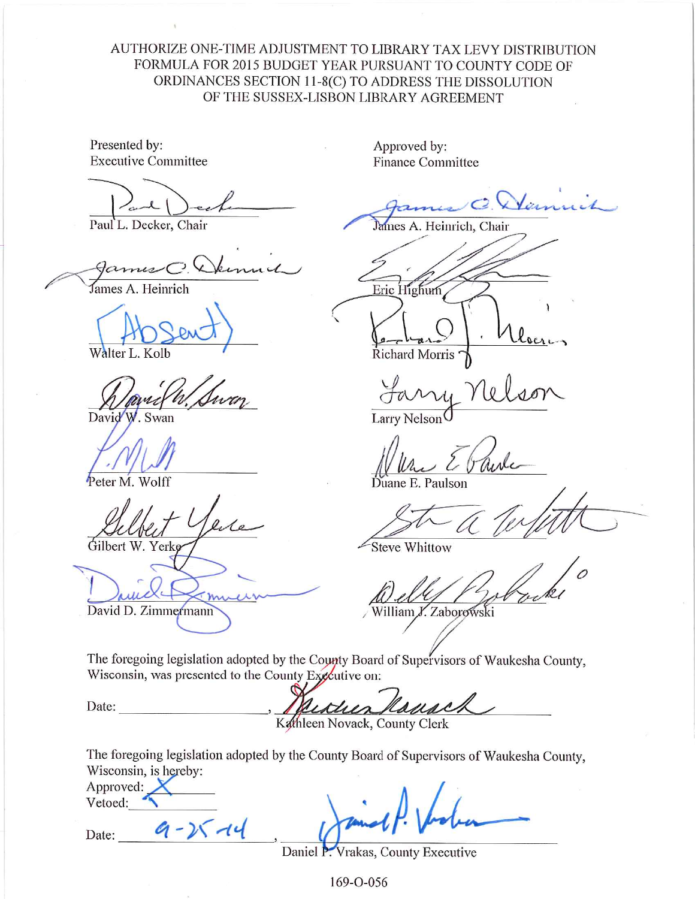AUTHORIZE ONE-TIME ADJUSTMENT TO LIBRARY TAX LEVY DISTRIBUTION FORMULA FOR 2015 BUDGET YEAR PURSUANT TO COUNTY CODE OF ORDINANCES SECTION 11-8(C) TO ADDRESS THE DISSOLUTION OF THE SUSSEX-LISBON LIBRARY AGREEMENT

Presented by: **Executive Committee** 

Paul L. Decker, Chair

James A. Heinrich

Walter L. Kolb

David<sup>\*</sup>

Peter M. Wolff

Gilbert W. Yerke

David D. Zimmermann

Approved by: **Finance Committee** 

James A. Heinrich, Chair

Eric Highum

Richard Morris

Larry Nelson

E. Paulson

**Steve Whittow** 

William Y. Zaborowski

The foregoing legislation adopted by the County Board of Supervisors of Waukesha County, Wisconsin, was presented to the County Executive on:

Ramac istues

Kathleen Novack, County Clerk

The foregoing legislation adopted by the County Board of Supervisors of Waukesha County, Wisconsin, is hereby:

| Approved: |  |
|-----------|--|
| Vetoed:   |  |

 $9 - 25 - 14$ 

Date:

Date:

Daniel P. Vrakas, County Executive

169-0-056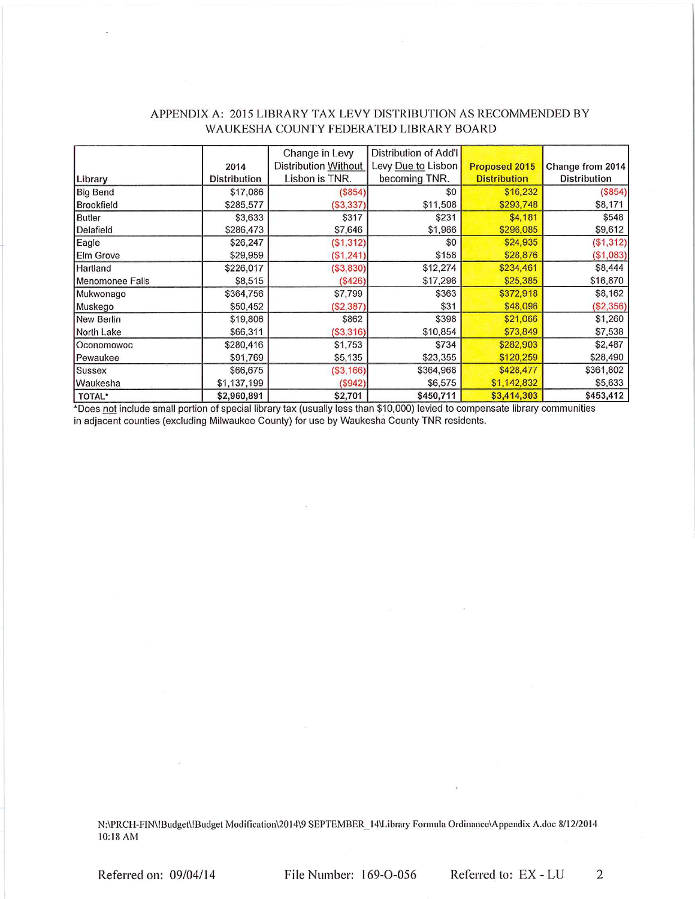|                 |                     | Change in Levy       | Distribution of Add'l |                      |                     |
|-----------------|---------------------|----------------------|-----------------------|----------------------|---------------------|
|                 | 2014                | Distribution Without | Levy Due to Lisbon    | <b>Proposed 2015</b> | Change from 2014    |
| Library         | <b>Distribution</b> | Lisbon is TNR.       | becoming TNR.         | <b>Distribution</b>  | <b>Distribution</b> |
| <b>Big Bend</b> | \$17,086            | (\$854)              | \$0                   | \$16,232             | (\$854)             |
| Brookfield      | \$285,577           | (\$3,337)            | \$11,508              | \$293,748            | \$8,171             |
| <b>Butler</b>   | \$3,633             | \$317                | \$231                 | \$4,181              | \$548               |
| Delafield       | \$286,473           | \$7,646              | \$1,966               | \$296,085            | \$9,612             |
| Eagle           | \$26,247            | (\$1,312)            | \$0                   | \$24,935             | (\$1,312)           |
| Elm Grove       | \$29,959            | (\$1,241)            | \$158                 | \$28,876             | (\$1,083)           |
| Hartland        | \$226,017           | (\$3,830)            | \$12,274              | \$234,461            | \$8,444             |
| Menomonee Falls | \$8,515             | (\$426)              | \$17,296              | \$25,385             | \$16,870            |
| Mukwonago       | \$364,756           | \$7,799              | \$363                 | \$372,918            | \$8,162             |
| Muskego         | \$50,452            | (\$2,387)            | \$31                  | \$48,096             | (\$2,356)           |
| New Berlin      | \$19,806            | \$862                | \$398                 | \$21,066             | \$1,260             |
| North Lake      | \$66,311            | (\$3,316)            | \$10,854              | \$73,849             | \$7,538             |
| Oconomowoc      | \$280,416           | \$1,753              | \$734                 | \$282,903            | \$2,487             |
| Pewaukee        | \$91,769            | \$5,135              | \$23,355              | \$120,259            | \$28,490            |
| Sussex          | \$66,675            | (\$3,166)            | \$364,968             | \$428,477            | \$361,802           |
| Waukesha        | \$1,137,199         | (S942)               | \$6,575               | \$1,142,832          | \$5,633             |
| TOTAL*          | \$2.960.891         | \$2.701              | \$450.711             | \$3,414,303          | \$453,412           |

### APPENDIX A: 2015 LIBRARY TAX LEVY DISTRIBUTION AS RECOMMENDED BY WAUKESHA COUNTY FEDERATED LIBRARY BOARD

\*Does not include small portion of special library tax (usually less than \$10,000) levied to compensate library communities in adjacent counties (excluding Milwaukee County) for use by Waukesha County TNR residents.

N:\PRCH-FIN\!Budget\!Budget Modification\2014\9 SEPTEMBER\_14\Library Formula Ordinance\Appendix A.doc 8/12/2014 10:18 AM

Referred on: 09/04/14

File Number: 169-O-056

Referred to: EX - LU

 $\overline{2}$